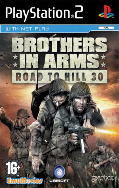# PlayStation。2

# **WITH NET PLAY**

**PAL** 



UBISOF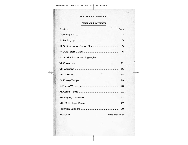## **SOLDIER'S HANDBOOK**

# **TABLE OF CONTENTS**

| <b>Chapters</b> | Pages <sup>*</sup> |
|-----------------|--------------------|
|                 | 2                  |
|                 | 3                  |
|                 | $5\overline{)}$    |
|                 | 6                  |
|                 | $\overline{7}$     |
|                 | 11                 |
|                 | 15                 |
|                 | 18                 |
|                 | 19                 |
|                 |                    |
|                 |                    |
|                 |                    |
|                 |                    |
|                 |                    |
|                 |                    |

 $\mathbf{1}$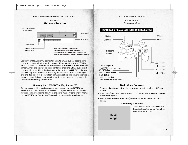#### BROTHERS IN ARMS: Road to Hill 30™ SOLDIER'S HANDBOOK

#### CHAPTER 1 **GETTING STARTED**



Set up your PlayStation®2 computer entertainment system according to the instructions in its Instruction Manual. Make sure the MAIN POWER switch (located on the back of the console) is turned ON. Press the RESET button.When the power indicator lights up, press the OPEN button and the tray will open. Place the Brothers In Arms: Road to Hill 30™ disc on the disc tray with the label side facing up. Press the OPEN button again and the disc tray will close.Attach game controllers and other peripherals, as appropriate. Follow on-screen instructions and refer to this manual for information on using the software.

#### **Memory Card (8MB)(for PlayStation®2)**

To save game settings and progress, insert a memory card (8MB)(for PlayStation<sup>®</sup>2) into MEMORY CARD slot 1 of your PlayStation<sup>®</sup>2 system. You can load saved game data from the same memory card or any memory card (8MB)(for PlayStation®2) containing previously saved games.

#### CHAPTER II **STARTING UP**

**DUALSHOCK®2 ANALOG CONTROLLER CONFIGURATIONS** 



#### **Basic Menu Controls**

- Press the directional buttons to browse or cycle through the different options.
- Press the  $\otimes$  button to select a button, go to the next screen, or change the current option.
- Within any submenu, press the  $\textcircled{2}$  button to return to the previous screen.

need image

#### **Gameplay Controls**

These are the basic commands for the default controller configuration (controller setting 1).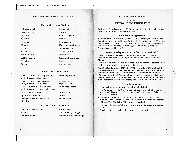#### BROTHERS IN ARMS: Road to Hill 30™ SOLDIER'S HANDBOOK

#### **Player Movement/Action**

left analog stick Move/strafe right analog stick Turn/aim L3 button Crouch (toggle)  $\Box$  button Reload R1 button Fire weapon R<sub>2</sub> button Switch weapon  $\bigcirc$  button Throw grenade START button Pause menu C button Melee  $\otimes$  button Jump/action

R3 button Zoom weapon (toggle) SELECT button Situational Awareness

#### **Squad/Tank Commands**

Hold L1 button, direct to position Move to position w/right analog stick, release

Hold L1 button, direct to enemy Fire upon/<br>w/right analog stick, release suppress enemy w/right analog stick, release

Hold L1 button, direct to enemy Rush/attack enemy w/right analog stick, press R1 button

down directional button Squad fall in

up directional button Squad fall out

left/right directional button or Switch squad L2 button

#### **Situational Awareness Mode**

left/right directional button Cycle targets R3 button Zoom on target (Toggle) left analog stick Rotate/tilt camera on target

## CHAPTER III **SETTING UP FOR ONLINE PLAY**

Brothers In Arms: Road to Hill 30 Online functions only through a broadband (DSL or cable modem) connection.

#### **Network Configuration**

A memory card (8MB)(for PlayStation®2) with a valid your network configuration file is required to play Brothers In Arms: Road to Hill 30 online. Before playing online, a valid network configuration file must be created and saved to the memory card (8MB)(for PlayStation®2) using the Network Adaptor Start-up Disc.

#### **Network Adaptor (Ethernet)(for PlayStation®2)**

Install the Network Adaptor (Ethernet)(for PlayStation®2) in your PlayStation 2 console according to the instructions in its Instruction Manual.

**Caution:** Unplug the AC power cord to your PlayStation 2 console before adding any networking equipment to the system.

Ports 3658 and numbers 10070 to 10080 are used (in UDP protocol) by the game. Ports 40000 to 42999 and 6668 are used (in TCP protocol) for connection to ubi.com™. Ports 41006, 4400, and numbers 45000 to 45001 are used (in UDP protocol) for connection to ubi.com. So if you have a firewall, you must open these ports. If you use a router with a single IP address, you must route these ports to your PlayStation 2 console.

#### **Troubleshooting**

If a connection to the network cannot be established:

- The AC power cord for the PlayStation 2 console is not fully inserted into the AC IN connector. Check that the AC power cord is fully inserted into the AC IN connector.
- The Network Adaptor (Ethernet)(for PlayStation®2) is not properly installed in the PlayStation 2 console. Check that the Network Adaptor (Ethernet)(for PlayStation®2) is properly installed.
- The network is busy.Wait a few minutes and try to access the network again.
- Check that the network cable is properly connected.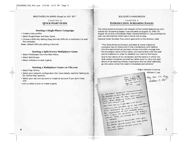## CHAPTER IV **QUICK-START GUIDE**

#### **Starting a Single-Player Campaign**

- Create a new profile.
- Select Single-Player and New Game.
- Choose a difficulty setting (Easy, Normal, Difficult, or Authentic) to start the campaign.

**Note:** Default difficulty setting is Normal.

#### **Starting a Split-Screen Multiplayer Game**

- Select Multiplayer from the Main Menu.
- Select Split-Screen.
- Select a Mission to start a game.

#### **Starting a Multiplayer Game on Ubi.com**

- Select Play Online.
- Select your network configuration (for more details, read the "Setting Up for Online Play" section).
- Select your ubi.com account or create an account if you don't have one.
- Join a Lobby to join or create a game.

#### SOLDIER'S HANDBOOK

## CHAPTER V **INTRODUCTION: SCREAMING EAGLES**

The 101st Airborne Division (Air Assault) of the United States Army, nicknamed the "Screaming Eagles," was activated on August 15, 1942. On August 19, its first commander, Major General William C. Lee, promised his new recruits that the 101st had a critical role to play.

General Order Number Five, which gave birth to the division, read:

"The 101st Airborne Division, activated at Camp Claiborne, Louisiana, has no history, but it has a rendezvous with destiny. Like the early American pioneers whose invincible courage was the foundation stone of this nation, we have broken with the past and its traditions in order to establish our claim to the future.

Due to the nature of our armament, and the tactics in which we shall perfect ourselves, we shall be called upon to carry out operations of far-reaching military importance and we shall habitually go into action when the need is immediate and extreme."

– Major General U.S.Army

William C. Lee

WHEN I WAS MADE WHEN WAS MOVE<br>PLATOON SERGENT TO ME<br>CO GAVE THIS TO ME I'M GWING IT WOLA MAL

Maj. Gen. U.S. Auny<br>William C. Lee

IN THE SHORT HISTORY OF HUMAN EXISTENCE, IN THE SHORT HISTORY OF HUMAN EXIST UPON THE COURAGE OF MEN HAS BEEN CAN THE COURAGE OF MEN TO STOP TYRANINGAL THE COURAGE OF MEN TO STOP TYPANNICAL<br>FROM TIME TO TIME TO STOP TYPANNICAL PRESEDENTS FULLS FROM SIKITY FILLS PROTUGE.<br>THIS TIME, SADLY IS YET ABAIN AT HATID.<br>THIS TIME, SADLY IS YET ABAIN AT OUR DOORS THIS TIME, SADLY, IS YET ABAIL AT HATLUCKSTEP<br>Typoniny HAS WALKED UP TO OUR DOORSTEP THIS TIME, SADUM IN THE BOULD OUR DOOR IN THE TWOULD THE IMPOSSIBLE TO NOT MISSIBLE THE ENERGY OF THE RELEASED OF THE RELEASED OF THE STATE OF THE AND WOCKED TO NOT ANSWER BOLLY BE IMPOSSIBLE TO POWERFUL THE FLEE.<br>WITH A YELL SO POWERFUL TO FLEE. YOULD HAVE NO USE THAT YOU.<br>YOU BRAVE YOUNG SOULS ARE THAT YOU BRAVER IN TERROR. N TERROR.<br>You BRAVE YOUNG SOLLS ARE THAT POWER.<br>You BRAVE YOUNG SOLLS ARE THAT POWER. YOU BRAVE YOURS ALLED YPON TO AN MER BACK.

7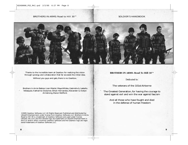#### SOLDIER'S HANDBOOK



Thanks to the incredible team at Gearbox for realizing the vision through synergy and collaboration that far exceeds the initial idea.

Without you guys and gals, there is no Gearbox.

Brothers In Arms Babies: Liam Martel, Maya Wildes, Gabriella & Isabella Velasquez, Katharine Doescher, Ethan Hernandez,Alexander & Evelyn Armstrong, Elanor Wofford.

©2005 Gearbox Software, LLC. All Rights Reserved. Published and distributed by Ubisoft Entertainment under license from Gearbox Software, LLC. Brothers In Arms Road to Hill 30 is a trademark of Gearbox Software and used under license. Ubisoft, Ubi.com, and the Ubisoft logo are trademarks of Ubisoft Entertainment in the U.S. and/or other countries. Gearbox Software and the Gearbox logo are regis- tered trademarks of Gearbox Software, LLC.

#### **BROTHERS IN ARMS: Road To Hill 30™**

*Dedicated to:*

## The veterans of the 101st Airborne

The Greatest Generation, for having the courage to stand against evil and win the war against fascism

> And all those who have fought and died in the defense of human freedom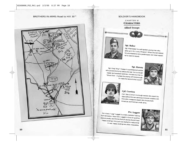

## SOLDIER'S HANDBOOK

#### CHAPTER VI **CHARACTERS**

**Allied Troops**



## **Sgt. Baker**

Sgt. Matt Baker is a soft-spoken young man who grew up in St. Louis, Missouri. When the war started, he volunteered to be a paratrooper, but never expected to lead his squad.

Sgt. Greg "Mac" Hassay is a professional soldier<br>who joined the Army before the war. He is a tough<br>leader and excellent tactician. He tells his men to<br>"Shoot first – it pisses the enemy off long enough<br>to make the second





 $\sim$ 

**Cpl. Corrion** days before the war earning a living at a textile mill.<br>He's also a weapons expert who knows both American and German small arms.

**Pvt. Leggett**<br>**Pvt. Leggett**<br>from Brooklyn, New York. Leggett is fond of quoting<br>obscure poetry and thinks that all stories should have<br>happy endings. He's just now started to realize that<br>in war, happy endings are often

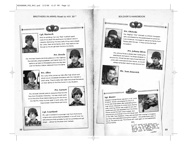#### SOLDIER'S HANDBOOK





 $\circ$ 

**Cpl. Hartsoc<sup>k</sup>** most of his adult life working on his father's land in<br>Laramie, Wyoming. He has a wife, Erma, and a daughter, Carol, back at the family ranch. Red wants to win the war so he can get back home to his family.

#### **Pvt. Desola**

Pvt. Michael Desola has three passions in life: fighting the Germans, playing baseball, and Italian food. He over his family's Italian restaurant from his father.



**Pvt. Allen** struck up an immediate friendship with Pvt. Garnett in boot camp. They're rarely seen apart and pride themselves on their ability to find the humor in any situation.

#### **Pvt. Garnett**

Pvt. Michael Garnett jokes to everyone that he's the "boy from Nowhere, Kentucky." He was a dock work- He met Pvt. Allen his first week in boot camp, and they've been close friends ever since.





**Cpl. Courtland** Virginia who enjoys playing baseball in his off time. He tells everyone that someday he will be a professional ball player – catcher for the New York Yankees.



**Pvt. Obrieski** who volunteered for the paratroopers to prove he<br>is an American. He hopes to rescue his family from<br>Poland after the war - if they survive the Nazi<br>occupation.

**Pvt. Johnny Rivas**<br>Pvt. Johnny Rivas is always seen holding his<br>sketchbook and pencil; he draws whatever is<br>around him. Rivas has said many times that he'll<br>jump with more pencils than ammo, so he will<br>always remember wha



# **Pfc. Tom Zanovich**













#### **Sgt. Risner**

Sergeant George Risner was born in St. Louis, Missouri. Risner volunteered for the U.S. high school. Because of a knee injury during<br>basic training, Risner was unable to join the<br>paratroops and was separated from his friend.



Risner joined the tank corps instead, and<br>
became the commander of an M5 Stuart tank<br>
in the 70th Tank Battalion. Matt was reunited with George in England,<br>
but they were separated during the invasion – the paratroopers w

MY SCRIBBLE HAVE TO SCRIBELL HAVE TO **THIS IS**  $11<sub>1</sub>$ THE ONLY THIN  $TUM6$ SLOTHER, AND I WAS REMEABER SETTER AT BASEBALL  $-$  GEORGE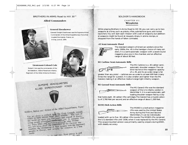#### **Allied Commanders**



#### **General Eisenhower**

General Dwight Eisenhower was the Supreme Allied Commander of the Allied Expeditionary Force that invaded Normandy, France, on D-Day, June 6, 1944.



**Lieutenant-Colonel Cole** Robert Cole was the commander of the 3rd Battalion, 502nd Parachute Infantry Regiment of the 101st Airborne Division.

# SUPREME HEADQUARTERS SUPREME HEADWOMATION



Soldiers, Sailors and Airmen of the Allied Expeditionary Force!

Mail of the Great Crusade, toward<br>You are about to embark up the Great Crusade, toward<br>You are about to embark up the Great Crusade, toward<br>the set any months. You are about to embark upon the Great Crusade, toward<br>which we have striven these hany months. The eyes of<br>which we have striven these hany months. The eyes of<br>the integral are upon you. The hopes and prayers of liberty-You are about to embark upon months. The eyes of liberty-<br>which we have striven these hany months. The eyes which we have striven the world are upon you. The hopes and prayers of liberty-<br>the world are upon you. The hopes You are above striven these tanges and prayers of liberty-<br>which we have striven the world are upon you. The hopes and prayers of liberty-<br>the world are upon you. The hopes and prophet with you. In company with<br>loving peop the world are upon you. The with you. In company<br>loving people everywhere march with you. In company<br>our brave Allies and brothers-in-arms on other Fronts,<br>our brave Allies and brothers-in-arms of the German was loving people everywhere the same on other Froms,<br>our brave Allies and brothers-in-arms on other Froms war<br>you will bring about the destruction of the German war<br>you will bring about the climination of Nazi tyranny over th loving people Allies and brothers-literation of the German war<br>our brave Allies and brothers-literation of the German war<br>you will bring about the destruction of Nazi tyranny over the oppressed<br>machine, the elimination of you will bring about the desired tyranny over the oppresses<br>machine, the elimination of Nazi tyranny over the opplession<br>peoples of Europe, and security for ourselves in a free

#### SOLDIER'S HANDBOOK

## CHAPTER VII **WEAPONS**

While playing Brothers In Arms: Road to Hill 30, you can carry up to two weapons at a time, such as pistols, rifles, submachine guns, and rocket launchers.You will start each mission with a set of weapons, but additional weapons might be found at resupply drops, in ammo dumps, or dropped from the hands of fallen comrades.

#### **.45 Semi-Automatic Pistol**



The standard sidearm of American soldiers since the early 1900s, the .45 is the handgun choice of many soldiers. It is a semi-automatic weapon with a seven-round magazine plus one in the chamber, and an effective range of about 80 feet.

#### **M1 Carbine Semi-Automatic Rifle**



The M1 Carbine is a .30 caliber semiautomatic shoulder weapon.The carbine has twice the magazine capacity of a .45, and its accurate range is far

greater than any pistol – carbines are accurate to at least 600 feet (many times the range for a pistol). It is also smaller and lighter than the M1 Garand, making it an effective medium-range light infantry weapon.

#### **M1 Garand Semi-Automatic Rifle**



The M1 Garand rifle was the standard weapon of the U.S. infantry soldier in World War II. It is a semi-automatic, selfloading shoulder weapon fed by a clip

that holds eight .30 caliber rifle cartridges.The Garand has a muzzle velocity of 2,760 feet per second, and an effective range of about 1,300 feet.

#### **M1903 Bolt-Action Rifle**



The M1903 is a bolt-action magazine rifle was used by the United States Army during the First and Second World Wars. It can be individually

loaded with up to five .30 caliber rifle rounds.The M1903 rifle remained the U.S. standard rifle until 1936, when it was replaced by the M1 Garand. This scope-mounted version was primarily used by snipers during WWII, with deadly accuracy.

world.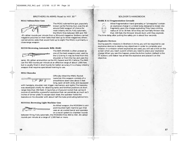#### **M1A1 Submachine Gun**



The M1A1 submachine gun, popularly known as the Tommy Gun, was the allaround field weapon of choice for most infantry NCOs. Fully automatic, the M1A1 fires between 600 and 700

.45 caliber rounds per minute from a 30-round magazine. Soldiers carried magazine pouches on their belts that held up to three magazines; others carried ammo vests that would hold up to eight.The M1A1 is primarily a close-range weapon.

#### **M1918 Browning Automatic Rifle (BAR)**

$$
\overbrace{\phantom{aaaaaaa}}^{\phantom{aaaaaaa}}
$$

The BAR (M1918) is often praised as one of the best weapons ever used by the U.S.Army. It may be fired from the shoulder or from the hip and uses the

same .30 caliber ammunition as the M1 Garand and M1 Carbine.The BAR can fire 450 rounds per minute at an effective range of about 1,800 feet, but is usually fired in short bursts for better accuracy. It is a heavy infantry weapon that requires specialized training to use.

#### **M9A1 Bazooka**



Officially titled the M9A1 Rocket Launcher, this weapon consists of a smoothbore steel tube about 5 feet long, open at both ends, and equipped

with handgrip, shoulder rest, trigger mechanism, and sights.The bazooka was developed chiefly for attacking tanks and fortified positions at short range (less than 350 feet). It launches a 3.5-pound rocket that carries 8 ounces of pentolite, a powerful explosive that can penetrate as much as 5 inches of armor plate.To escape back blast, the operator holds the bazooka on his shoulder with about half the tube protruding behind him.

**M1919A4 Browning Light Machine Gun**



An Allied weapon, the M1919A4 is a-tripod-mounted light machine gun that uses an air-cooled barrel and operates on a recoil system to chamber rounds

between firing. Fully automatic, the M1919A4 fires 400 to 550 .30 caliber rounds per minute at a range of 1,500 feet or more.

#### SOLDIER'S HANDBOOK

#### **MARK II A1 Fragmentation Grenade**



Allied fragmentation hand grenades, or "pineapples," contain an explosive charge in a metal body, designed to break into fragments upon the charge exploding.They have a killing radius of 15 to 30 feet. Since they are normally thrown less than 100 feet, the thrower should duck until they explode.

The time delay after pulling the safety pin is about four seconds.

#### **Explosive Devices**

During specific missions in Brothers In Arms, you will be required to use explosive devices to destroy key objectives in order to complete your mission. In a mission where explosives are used, you will see a hint on the screen when you reach a point where you need to place your explosive charge. When you see this happen, press the Action button (default is the  $\Diamond$  button) until Baker has armed the explosive and placed it on the objective.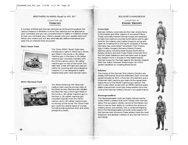## CHAPTER VIII **VEHICLES**

A number of Allied and German vehicles can be found throughout the various missions in Brothers In Arms.Two vehicles will be attached to your command, and you can command them in battle in a fashion similar to how you command your infantry squads. Like your squads, tanks will follow your orders, but will also automatically defend themselves and open fire on enemies they encounter.

#### **M5A1 Stuart Tank**



The 15-ton M5A1 "Stuart" light tank, introduced in early in 1943, has a 37mm gun fitted in the turret, a .30 caliber machine gun in the bow, a .30 caliber machine gun mounted coaxially with the 37mm cannon, and a .30 caliber machine gun on top of the turret.This light tank is fast and light and used primarily for scouting and reconnaissance missions. It is not designed to battle head-to-head with most German tanks.

#### **M4A1 Sherman Tank**



The 30-ton American M4 "Sherman" medium tank was the primary tank of the Allied armies. Mechanically reliable, the Sherman has a 75mm gun fitted in the turret, a .30 caliber machine gun in the bow, a .30 caliber machine gun mounted coaxially with the 75mm cannon, and a .50 caliber machine gun on the top of the turret.The 75mm main gun could fire several types of rounds, including high-explosive, shot, and white phosphorus shells.

#### SOLDIER'S HANDBOOK

CHAPTER IX **ENEMY TROOPS**

#### **Conscripts**

German military conscripts are the main enemy force in Normandy and other regions of occupied France. These minimally trained German troops are expected to fight from behind concrete fortifications and to gain time for the infantry and mobile troops to arrive and repel an invading force. During its conquest of Europe, Germany has conscripted "volunteers" from France, Italy, Croatia, Hungary, Romania, Poland, Finland, Estonia, Latvia, Lithuania,Asian Russia, North Africa, Russia, Ukraine, and even India.These conscripts form the Ost (East) battalions and have been sent to guard the western front in Europe to free better-trained German troops for the fight against the Soviets. Despite their low status, however, these troops can inflict severe casualties on invading Allied forces.

#### **Infantry**

The troops of the German 91st Infantry Division are steady, well-trained, ferocious defenders. Each nine-man squad includes an NCO, a five-man rifle element, and a three-man light machine gun team.At the squad level, teams focus on the MG42 machine gun section.The NCO is also often armed with an MP40 machine pistol. Better trained than conscripts, these soldiers form the core of the German infantry forces in occupied France.

#### **Panzergrenadiers**

The Panzergrenadier units are highly trained mechanized infantry soldiers that work closely with German tanks.The successful military record of the Panzer divisions is due to their ability to combine the actions of infantry, armor, and artillery into a combined fighting force.The Panzergrenadiers provide close support for the German tank divisions.These solders have the most firepower and greatest mobility of any German force in Normandy.



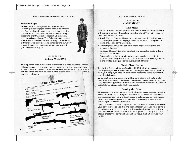#### **Fallschirmjäger**

The 6th Parachute Regiment and 3rd Parachute Division (Fallschirmjäger) are the most elite infantry the Germans have in Normandy, and are armed with the newest and best weapons in the German army.A parachute infantry squad consists of 11 men, with three squads per platoon.The Fallschirmjäger squad is similar to the standard German infantry, but with two extra men who carry a second light machine gun.They also utilize armored elements such as tanks, assault guns, and anti-tank guns.



## CHAPTER X **ENEMY WEAPONS**

At the present time, there is little information available regarding German infantry weapons. It is known that the forces occupying Normandy have access to several types of pistols, submachine guns, rifles, and anti-person-<br>nel/anti-armor explosive devices, but the exact details nel/anti-armor explosive devices, but the exact details currently unknown.



#### SOLDIER'S HANDBOOK

## CHAPTER XI **GAME MENUS**

#### **Main Menu**

With the Brothers In Arms: Road to Hill 30 disk inserted, the Main Menu will appear once the introductory video has played.The Main Menu contains the following options:

- **Single-Player:** Choose this option to begin a new single-player game, continue your previous campaign from the last saved checkpoint, or load a previously completed level.
- **Multiplayer:** Choose this option to begin a split-screen game or a ubi.com online game.
- **Options:** Choose this option to adjust your controller, audio, video, or general game settings.
- **Extras:** Choose this option to view bonus material and content unlocked from the game.You can unlock extras by completing chapters in the single-player game at various levels of difficulty.

#### **Single-Player Menu**

To play the Brothers In Arms: Road to Hill 30 single-player game, select the Single-Player menu. From here you can begin a New Game, Continue from your last played mission, or choose Chapters to replay a previously completed chapter.

When starting a new game, you will have a choice of difficulty levels: Easy, Normal, Difficult, or Authentic. In Authentic mode, the difficulty is set very high and suppression indicators are turned off by default, to simulate battlefield conditions as faithfully as possible.

#### **Pausing the Game**

At any point during a chapter in the single-player game, you can press the START button to pause the game. From the Pause menu, you can restart the chapter, reload your previously saved checkpoint, or quit the chapter (losing any saved progress from your last checkpoint). Press the START button again to resume the mission.

Upon completion of each chapter, you will be awarded a medal based on your performance as a soldier and a squad leader. Once you have completed a chapter, you can go back at any time and replay that chapter from the Load menu to attempt a better score.Anytime you replay and complete a chapter, the game will automatically save the best score to your profile.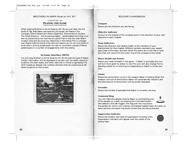## C HAPTER XII **PLAYING THE GAME**

When playing Brothers In Arms: Road to Hill 30, you will step into the boots of Sgt. Matt Baker and lead the 3rd Squad, 3rd Platoon, Fox Company, 502nd Parachute Infantry Regiment, 101st Airborne Division. The 101st Airborne – the Screaming Eagles – spearheaded the D-Day invasion by parachuting into German-occupied France near the Utah Beach invasion area and securing key objectives in Normandy.This is a dangerous mission behind enemy lines, and will require you to not only perform as an elite U.S.Army paratrooper, but also to command a squad of fellow paratroopers in a number of engagements with the enemy.

#### **In-Game Interface (HUD)**

You will play Brothers In Arms: Road to Hill 30, through the eyes of Baker. Certain information will be displayed on-screen, such as health, objective locations, fire team status, and other data that is critical to gameplay.The HUD (heads-up display) has multiple elements that are positioned at different locations on the screen.

# **Selected Fire Team Player Health & Posture**

#### SOLDIER'S HANDBOOK

#### **Compass**

Shows you the direction you are facing.

#### **Objective Indicator**

Arrows on the outside of the compass point in the direction of your next objective in each chapter.

#### **Team Indicators**

Shows the direction and relative health of the members of your team(s)/tank for that chapter. Different symbols represent your assault team, base of fire team, and tank.When the teams are in the "fall-in" position they will move from the outer ring of the compass to the inside.

#### **Player Health and Posture**

Shows your level of health in the game – if Baker is wounded, the icon will turn from green to yellow to red.This icon will also change from a standing soldier to a crouching one depending on Baker's current posture.

#### **Ammo**

Shows the ammunition count in the weapon Baker is holding.When the weapon runs out of ammunition, Baker will automatically reload it, and the total amount of ammunition will be briefly displayed.

#### **Grenades**

Shows the number of grenades that Baker is currently carrying.

#### **Command Ring**



You can make this appear anytime Baker is commanding one of his squads (or a tank) by pressing the Command button (the default is the left trigger).The flag over the ring shows the symbol for which unit is being commanded (assault team, fire team, or tank) and the command ring shows where they are being directed.

#### **Suppression Indicator**

Shows the location and level of suppression of enemy units. Suppression indicators will appear over the center of the enemy team.

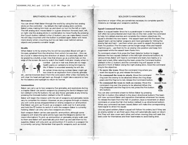#### **Movement**

You can direct Matt Baker through the world by using the two analog sticks on the controller – by default, the right analog stick controls Baker's view, making him look up and down or turn to the left or right. The left analog stick moves Baker in a given direction: forward, back, left, or right. Use the analog sticks in combination to move fluidly. By pressing the Crouch button (default is the L3 button), you can make Baker crouch. He will stay crouched until the button is pressed again. Baker will move more slowly when crouching, but he can take cover behind various objects and presents a smaller target.

#### **Health**

When Baker is hit by enemy fire, he will be wounded. Blood will get in his eyes, splashed from the direction from which he was shot – this can be crucial in determining the direction of attack. Occasionally, Baker will be grazed by a bullet, a near miss that shows up as a white halo on the edge of the screen. Be sure to watch the Health Indicator closely when in



combat – just as in real war, there are no magic health packs or canteens to bring him back to life. If Baker is wounded severely, he will die.

At certain times during combat, Baker might get too close to an explosion from a bomb, grenade, etc., and be knocked down from the concussion.After a few moments, he

will clear his head and get back up, though it might take a second or two for his balance and eyesight to return to normal.

#### **Ammunition**

Baker can carry up to two weapons, five grenades, and explosives during  $\overline{a}$  a chapter. Baker can switch weapons by pressing the Switch Weapon button (default is the R2 button). He can also throw grenades at any time by pressing the Grenade button (default is the  $\bigcircled{\rm hutton}$ ).

Baker will begin the mission with the set of weapons and grenades necessary to complete his mission. However, as you progress through a mission, you will come across dropped Allied or enemy weapons or ammunition that Baker can pick up.To pick up a weapon, walk over to it and press and hold the  $\overline{\mathbb{O}}$  button to switch it with the weapon Baker is currently holding. (Baker can only carry two weapons at a time.)

Each weapon Baker carries uses specific ammunition, although some weapons will share the same ammo type (see the Weapons section for more information).To pick up ammunition or grenades, simply walk over to them and Baker will automatically pick them up and add them to his supplies. (Baker will only pick up ammunition if it works in a weapon he is currently carrying.) Remember that specific weapons, such as rocket

launchers or sniper rifles, are sometimes necessary to complete specific missions, so manage your weapons carefully.

SOLDIER'S HANDBOOK

#### **Squad Command System**

Baker is a squad leader. Since he is a paratrooper in enemy territory, he will often be outnumbered and must rely on the men under his command to help him defeat enemies and complete the mission objectives. His squad is divided into two teams – the assault team and the fire team.The assault team carries lighter weapons and more grenades for hitting the enemy fast and hard – use them when you want to assault the enemy or flank his position.The fire team carries longer-range rifles and heavier machine guns – use them to fix an enemy into position and keep him suppressed while the assault team flanks him.

To command a team, first press the Team Selector button to toggle between the two squads (default is the left/right directional button).At various times, Baker will have to command one team, two teams, or a team and a tank.After selecting the team, press the Command button (default is the L1 button) and the command ring will appear on the ground in front of Baker. Using the right analog stick, move the command ring to the objective.

• **To move the team:** Move the command ring where you want the squad to go, and release the button.



• **To command the team to attack:** Move the command ring over the enemy to be attacked.When the ring disappears and the flag turns red, release the Command button.



• **To command the team to rush an enemy:** Move the command ring over the enemy to be attacked.When the ring disappears and the flag turns red, press the Fire button (R1 button).



You can also command a team to follow Baker by pressing

the Fall–In button (the default is the down directional button).The team will now surround Baker and reposition themselves whenever he moves. To release the team from the Fall–In position, issue a movement or attack command, or press the Fall–Out button (default is up directional button). When any command has been issued, Baker will make the corresponding hand signal to direct his squad.

Like any good soldiers, Baker's squad will follow his orders, but if they see an enemy soldier or are fired upon, they will automatically open or return fire.They will also cover each other, and when moving, they will seek the best cover for themselves and their teammates to avoid being shot.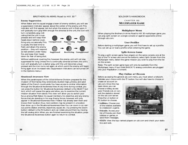#### **Enemy Suppression**

When Baker and his squad engage a team of enemy soldiers, you will see a suppression indicator appear above the center of the enemy unit.This indicator will first appear red, but when the enemy unit is fired upon, it will gradually turn gray.With enough fire directed at the unit, the icon will

turn completely gray, indicating that the unit is suppressed and will keep their heads down behind cover, firing only occasionally.This is usually the best time to flank and attack the enemy position – they will respond as real soldiers under heavy fire, and keep their heads down for fear of being shot.



Without additional covering fire, however, the enemy unit will not stay suppressed for long. Unless fire is continually directed at them, the unit's icon will gradually turn a darker gray, until the unit becomes unsuppressed and the icon turns red again, at which point the enemy will begin firing again at an increased rate. (Suppression indicators can be turned off in the Options menu.)

#### **Situational Awareness View**

When the paratroopers of the 101st Airborne Division prepared for the invasion of Normandy, they extensively studied maps, photos, and sand tables of the French countryside.You have access to similar information through the Situational Awareness View.At any time during combat, you can press the button for Situational Awareness (default is the SELECT button), which will pause the game and allow you to examine the current mission situation from above.This view will allow you to switch your focus among Matt Baker, his squad members, his objective, and any enemy forces that are standing in his way. Enemy forces, however, will only appear in Situational Awareness View if Baker has already seen them and knows their location; thus, more soldiers may be present in a location than show up in the Situational Awareness View.You can zoom in on various points (Baker, enemies, objectives, squad, etc.) by pressing the Zoom button (default is the R3 button) and can rotate around them by moving the left analog stick.When you are finished examining the situation, press the Situational Awareness button again to return to combat.

#### SOLDIER'S HANDBOOK

#### CHAPTER XIII **MULTIPLAYER GAME**

#### **Multiplayer Menu**

When playing the Brothers In Arms: Road to Hill 30 multiplayer game, you can play split–screen on a single console or against opponents online through ubi.com.

#### **User Profiles**

Before starting a multiplayer game, you will first have to set up a profile. You can set up or load a profile when entering the game.

#### **Split–Screen Game**

To play a split–screen game (two players on the same console, one at the top of the TV screen and one at the bottom), select Split–Screen from the Multiplayer menu. Select the game mission you wish to play from the list on the screen.

**Note:** The split–screen game type will only be available from the Multiplayer menu if two DUALSHOCK®2 analog controllers are plugged into your PlayStation 2 console.

#### **Play Online at Ubi.com**

Before accessing the general ubi.com menu, you must select a network. Validate your choice with the  $\otimes$  button. You will also have to choose or create an account on

ubi.com. Once this has been done, you can choose a lobby, access your Friends List, or consult the statistics stored on the ubi.com server. Press the L1 button or R1 button to choose.

L.

- **Lobbies:** Choose one of the lobbies available to create/join a game.
- **Friends:** Access your list of friends, join their lobbies or games, or send them messages.



• **STATS:** View the top–ranked players on ubi.com and check your statistics and rank.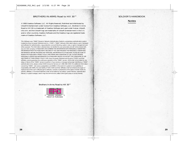© 2005 Gearbox Software, LLC. All Rights Reserved. Published and distributed by Ubisoft Entertainment under license from Gearbox Software, LLC. Brothers In Arms Road to Hill 30 is a trademark of Gearbox Software and used under license. Ubisoft, Ubi.com, and the Ubisoft logo are trademarks of Ubisoft Entertainment in the U.S. and/or other countries. Gearbox Software and the Gearbox logo are registered trademarks of Gearbox Software, LLC.

This Software uses "DNAS" (Dynamic Network Authentication System), a proprietary authentication system created by Sony Computer Entertainment Inc. ("SCEI"). "DNAS" retrieves information about a user's hardware and software for authentication, copy protection, account blocking, system, rules, or game management and other purposes. The information collected does not identify the user personally and will not be shared with any non-SCE company. A PUBLISHER CAN COMBINE THIS INFORMATION WITH PERSONALLY IDENTIFYING INFORMATION FROM THE PUBLISHER'S RECORDS IF THE USER PROVIDES THE PERSONALLY IDENTIFYING INFORMATION. BEFORE PROVIDING ANY PERSONAL INFORMATION TO A PUBLISHER, PLEASE BE SURE TO REVIEW THE PUBLISHER'S PRIVACY POLICY AND TERMS AND CONDITIONS OF USE. DO NOT PROVIDE PERSONALLY IDENTIFYING INFORMATION TO A PUBLISHER UNLESS YOU ACCEPT THE CONDITIONS OF USE AND TERMS OF THEIR PRIVACY POLICY. SCEI, Sony Computer Entertainment America ("SCEA") and their affiliates cannot guarantee the continuous operation of the "DNAS" servers. SCEA shall not be liable for any delay or failure of the "DNAS" servers to perform. If you receive a message during login identifying a "DNAS" authentication error, please contact SCEA Consumer Services at 1-866-466-5333. For additional information concerning "DNAS", visit www.us.playstation.com/DNAS. In the event of a systems incompatibility or inoperability with DNAS, the sole liability of SCEI, SCEA and their affiliates shall be limited to the repair or replacement of the user's affected game software, console or peripherals at the option of SCEA. SCEA, its parents, affiliates, or licensed Publishers shall not be liable for any delays, system failures, authentication failures, or system outages, which may, from time to time, affect online game play or access thereto.

#### Brothers In Arms: Road to Hill 30™



#### SOLDIER'S HANDBOOK

#### **NOTES**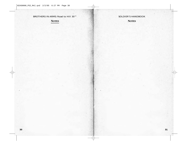**NOTES**

# SOLDIER'S HANDBOOK

**NOTES**